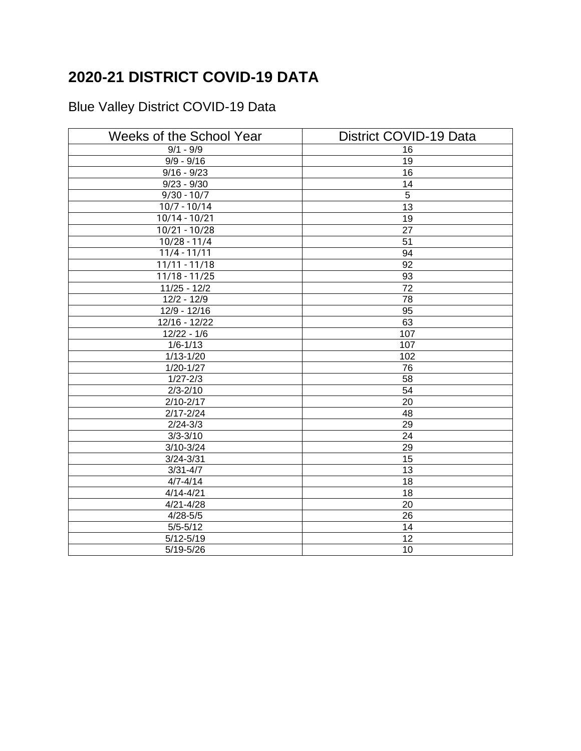## **2020-21 DISTRICT COVID-19 DATA**

## Blue Valley District COVID-19 Data

| Weeks of the School Year | District COVID-19 Data |  |
|--------------------------|------------------------|--|
| $9/1 - 9/9$              | 16                     |  |
| $9/9 - 9/16$             | 19                     |  |
| $9/16 - 9/23$            | 16                     |  |
| $9/23 - 9/30$            | 14                     |  |
| $9/30 - 10/7$            | $\overline{5}$         |  |
| $10/7 - 10/14$           | 13                     |  |
| 10/14 - 10/21            | 19                     |  |
| $10/21 - 10/28$          | 27                     |  |
| $10/28 - 11/4$           | 51                     |  |
| $11/4 - 11/11$           | 94                     |  |
| $11/11 - 11/18$          | 92                     |  |
| $11/18 - 11/25$          | 93                     |  |
| $11/25 - 12/2$           | $\overline{72}$        |  |
| $12/2 - 12/9$            | 78                     |  |
| $12/9 - 12/16$           | 95                     |  |
| 12/16 - 12/22            | 63                     |  |
| $12/22 - 1/6$            | 107                    |  |
| $1/6 - 1/13$             | 107                    |  |
| $1/13 - 1/20$            | 102                    |  |
| $1/20 - 1/27$            | 76                     |  |
| $1/27 - 2/3$             | 58                     |  |
| $2/3 - 2/10$             | $\overline{54}$        |  |
| $2/10 - 2/17$            | $\overline{20}$        |  |
| $2/17 - 2/24$            | $\overline{48}$        |  |
| $2/24 - 3/3$             | 29                     |  |
| $3/3 - 3/10$             | 24                     |  |
| $3/10 - 3/24$            | 29                     |  |
| $3/24 - 3/31$            | 15                     |  |
| $3/31 - 4/7$             | 13                     |  |
| $4/7 - 4/14$             | 18                     |  |
| $4/14 - 4/21$            | 18                     |  |
| $4/21 - 4/28$            | 20                     |  |
| $4/28 - 5/5$             | 26                     |  |
| $\overline{5/5}$ -5/12   | 14                     |  |
| $5/12 - 5/19$            | $\overline{12}$        |  |
| $5/19 - 5/26$            | 10                     |  |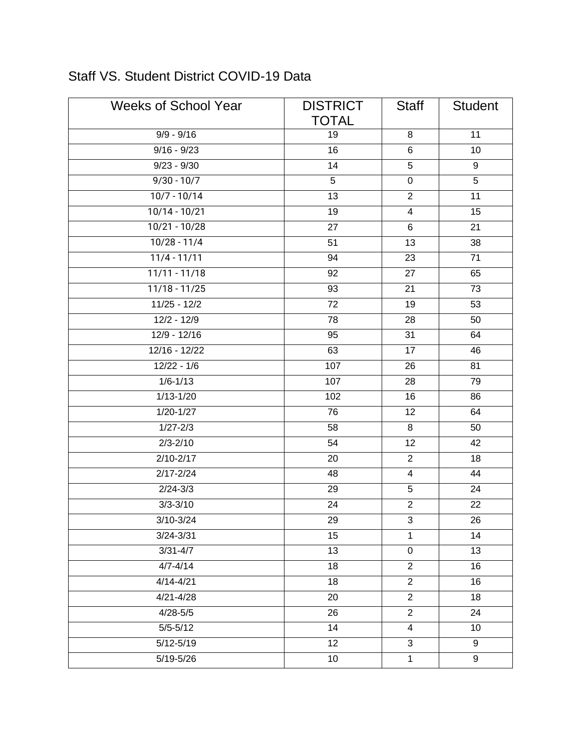| <b>Weeks of School Year</b> | <b>DISTRICT</b> | <b>Staff</b>            | <b>Student</b> |
|-----------------------------|-----------------|-------------------------|----------------|
|                             | <b>TOTAL</b>    |                         |                |
| $9/9 - 9/16$                | 19              | 8                       | 11             |
| $9/16 - 9/23$               | 16              | 6                       | 10             |
| $9/23 - 9/30$               | 14              | 5                       | 9              |
| $9/30 - 10/7$               | $\overline{5}$  | $\pmb{0}$               | $\overline{5}$ |
| $10/7 - 10/14$              | 13              | $\overline{2}$          | 11             |
| $10/14 - 10/21$             | 19              | $\overline{\mathbf{4}}$ | 15             |
| $10/21 - 10/28$             | $\overline{27}$ | 6                       | 21             |
| $10/28 - 11/4$              | 51              | 13                      | 38             |
| $11/4 - 11/11$              | 94              | 23                      | 71             |
| $11/11 - 11/18$             | 92              | 27                      | 65             |
| $11/18 - 11/25$             | 93              | 21                      | 73             |
| $11/25 - 12/2$              | 72              | 19                      | 53             |
| $12/2 - 12/9$               | 78              | 28                      | 50             |
| $12/9 - 12/16$              | 95              | 31                      | 64             |
| $12/16 - 12/22$             | 63              | 17                      | 46             |
| $12/22 - 1/6$               | 107             | 26                      | 81             |
| $1/6 - 1/13$                | 107             | 28                      | 79             |
| $1/13 - 1/20$               | 102             | 16                      | 86             |
| $1/20 - 1/27$               | 76              | 12                      | 64             |
| $1/27 - 2/3$                | 58              | 8                       | 50             |
| $2/3 - 2/10$                | 54              | 12                      | 42             |
| $2/10 - 2/17$               | 20              | $\overline{2}$          | 18             |
| $2/17 - 2/24$               | 48              | $\overline{\mathbf{4}}$ | 44             |
| $2/24 - 3/3$                | 29              | 5                       | 24             |
| $3/3 - 3/10$                | 24              | $\overline{2}$          | 22             |
| 3/10-3/24                   | 29              | 3                       | 26             |
| $3/24 - 3/31$               | 15              | $\mathbf{1}$            | 14             |
| $3/31 - 4/7$                | 13              | $\pmb{0}$               | 13             |
| $4/7 - 4/14$                | 18              | $\overline{2}$          | 16             |
| $4/14 - 4/21$               | 18              | $\overline{2}$          | 16             |
| $4/21 - 4/28$               | 20              | $\overline{2}$          | 18             |
| $4/28 - 5/5$                | 26              | $\overline{2}$          | 24             |
| $5/5 - 5/12$                | 14              | 4                       | 10             |
| $5/12 - 5/19$               | 12              | 3                       | 9              |
| $5/19 - 5/26$               | 10              | $\mathbf{1}$            | 9              |

## Staff VS. Student District COVID-19 Data